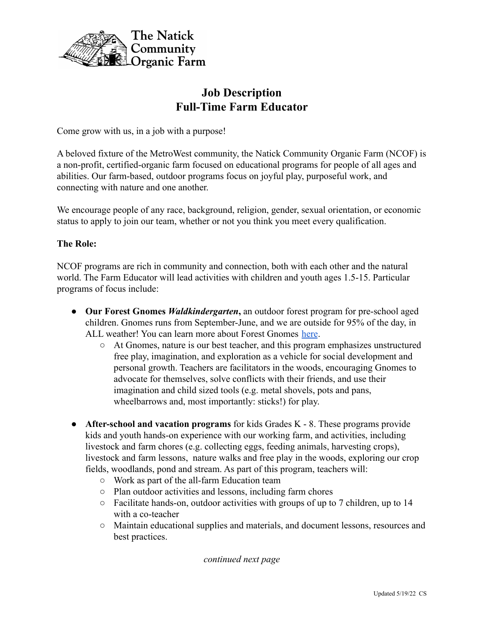

# **Job Description Full-Time Farm Educator**

Come grow with us, in a job with a purpose!

A beloved fixture of the MetroWest community, the Natick Community Organic Farm (NCOF) is a non-profit, certified-organic farm focused on educational programs for people of all ages and abilities. Our farm-based, outdoor programs focus on joyful play, purposeful work, and connecting with nature and one another.

We encourage people of any race, background, religion, gender, sexual orientation, or economic status to apply to join our team, whether or not you think you meet every qualification.

# **The Role:**

NCOF programs are rich in community and connection, both with each other and the natural world. The Farm Educator will lead activities with children and youth ages 1.5-15. Particular programs of focus include:

- **Our Forest Gnomes** *Waldkindergarten***,** an outdoor forest program for pre-school aged children. Gnomes runs from September-June, and we are outside for 95% of the day, in ALL weather! You can learn more about Forest Gnomes [here](https://www.natickfarm.org/learn/forest-gnomes-homepage/).
	- At Gnomes, nature is our best teacher, and this program emphasizes unstructured free play, imagination, and exploration as a vehicle for social development and personal growth. Teachers are facilitators in the woods, encouraging Gnomes to advocate for themselves, solve conflicts with their friends, and use their imagination and child sized tools (e.g. metal shovels, pots and pans, wheelbarrows and, most importantly: sticks!) for play.
- **After-school and vacation programs** for kids Grades K 8. These programs provide kids and youth hands-on experience with our working farm, and activities, including livestock and farm chores (e.g. collecting eggs, feeding animals, harvesting crops), livestock and farm lessons, nature walks and free play in the woods, exploring our crop fields, woodlands, pond and stream. As part of this program, teachers will:
	- Work as part of the all-farm Education team
	- Plan outdoor activities and lessons, including farm chores
	- Facilitate hands-on, outdoor activities with groups of up to 7 children, up to 14 with a co-teacher
	- Maintain educational supplies and materials, and document lessons, resources and best practices.

*continued next page*